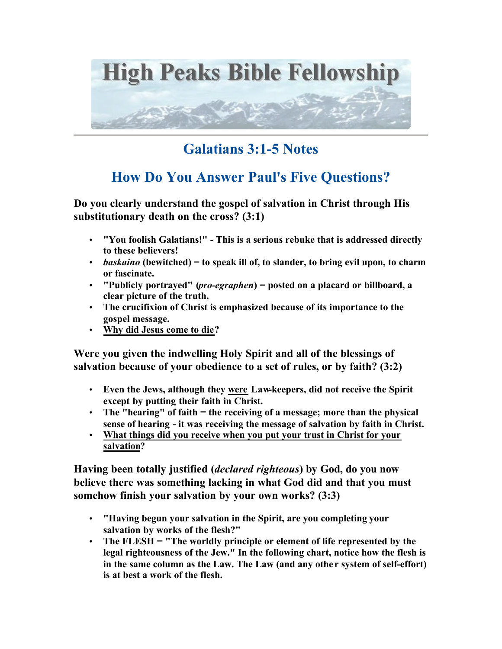

## **Galatians 3:1-5 Notes**

## **How Do You Answer Paul's Five Questions?**

**Do you clearly understand the gospel of salvation in Christ through His substitutionary death on the cross? (3:1)**

- **"You foolish Galatians!" This is a serious rebuke that is addressed directly to these believers!**
- *baskaino* **(bewitched) = to speak ill of, to slander, to bring evil upon, to charm or fascinate.**
- **"Publicly portrayed" (***pro-egraphen***) = posted on a placard or billboard, a clear picture of the truth.**
- **The crucifixion of Christ is emphasized because of its importance to the gospel message.**
- **Why did Jesus come to die?**

**Were you given the indwelling Holy Spirit and all of the blessings of salvation because of your obedience to a set of rules, or by faith? (3:2)**

- **Even the Jews, although they were Law-keepers, did not receive the Spirit except by putting their faith in Christ.**
- **The "hearing" of faith = the receiving of a message; more than the physical sense of hearing - it was receiving the message of salvation by faith in Christ.**
- **What things did you receive when you put your trust in Christ for your salvation?**

**Having been totally justified (***declared righteous***) by God, do you now believe there was something lacking in what God did and that you must somehow finish your salvation by your own works? (3:3)**

- **"Having begun your salvation in the Spirit, are you completing your salvation by works of the flesh?"**
- **The FLESH = "The worldly principle or element of life represented by the legal righteousness of the Jew." In the following chart, notice how the flesh is in the same column as the Law. The Law (and any othe r system of self-effort) is at best a work of the flesh.**